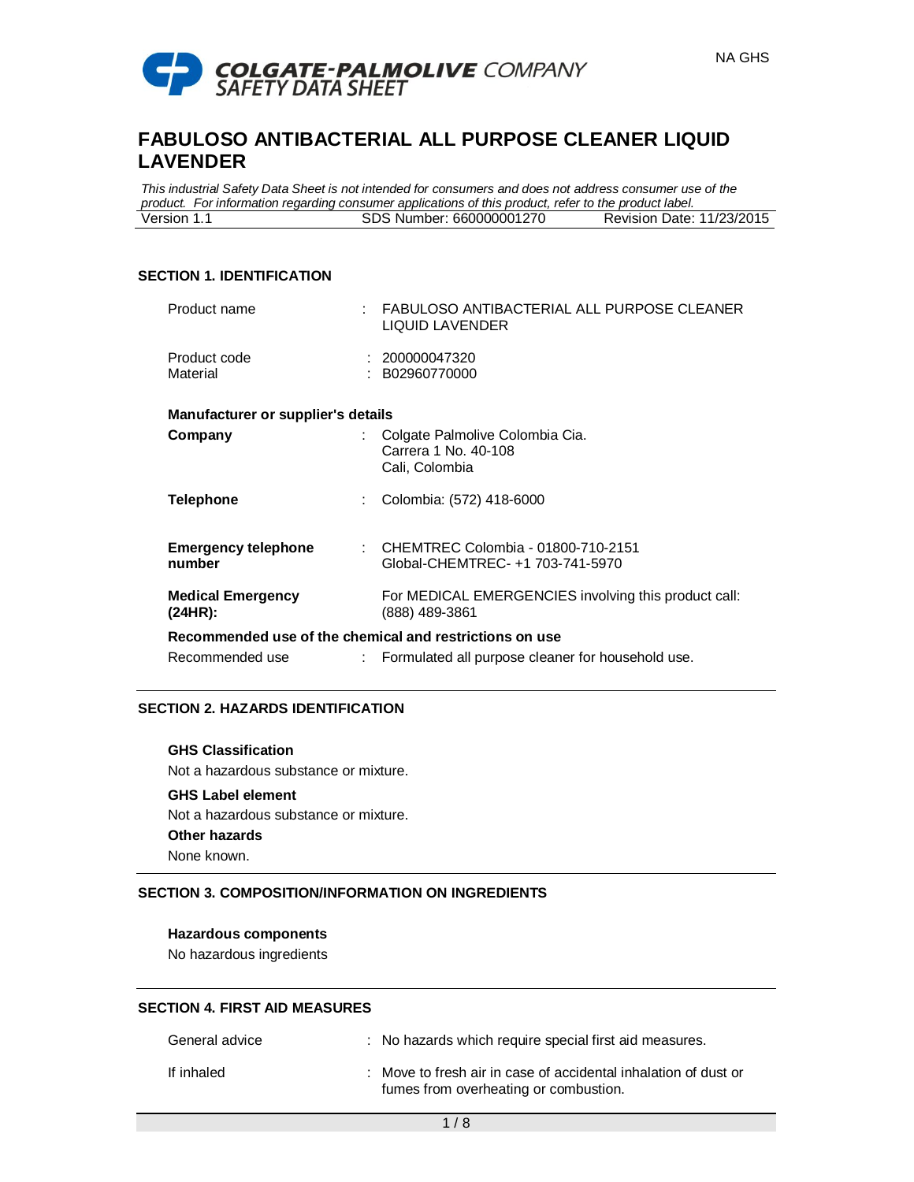

*This industrial Safety Data Sheet is not intended for consumers and does not address consumer use of the product. For information regarding consumer applications of this product, refer to the product label.* Version 1.1 SDS Number: 660000001270 Revision Date: 11/23/2015

### **SECTION 1. IDENTIFICATION**

| Product name                                            |    | : FABULOSO ANTIBACTERIAL ALL PURPOSE CLEANER<br>LIQUID LAVENDER             |  |
|---------------------------------------------------------|----|-----------------------------------------------------------------------------|--|
| Product code<br>Material                                |    | : 200000047320<br>: B02960770000                                            |  |
| Manufacturer or supplier's details                      |    |                                                                             |  |
| Company                                                 |    | : Colgate Palmolive Colombia Cia.<br>Carrera 1 No. 40-108<br>Cali, Colombia |  |
| Telephone                                               | ÷. | Colombia: (572) 418-6000                                                    |  |
| <b>Emergency telephone</b><br>number                    |    | : CHEMTREC Colombia - 01800-710-2151<br>Global-CHEMTREC- +1 703-741-5970    |  |
| <b>Medical Emergency</b><br>(24HR):                     |    | For MEDICAL EMERGENCIES involving this product call:<br>(888) 489-3861      |  |
| Recommended use of the chemical and restrictions on use |    |                                                                             |  |
| Recommended use                                         |    | Formulated all purpose cleaner for household use.                           |  |

## **SECTION 2. HAZARDS IDENTIFICATION**

### **GHS Classification**

Not a hazardous substance or mixture.

# **GHS Label element**

Not a hazardous substance or mixture.

# **Other hazards**

None known.

## **SECTION 3. COMPOSITION/INFORMATION ON INGREDIENTS**

## **Hazardous components**

No hazardous ingredients

### **SECTION 4. FIRST AID MEASURES**

| General advice | : No hazards which require special first aid measures.                                                   |
|----------------|----------------------------------------------------------------------------------------------------------|
| If inhaled     | : Move to fresh air in case of accidental inhalation of dust or<br>fumes from overheating or combustion. |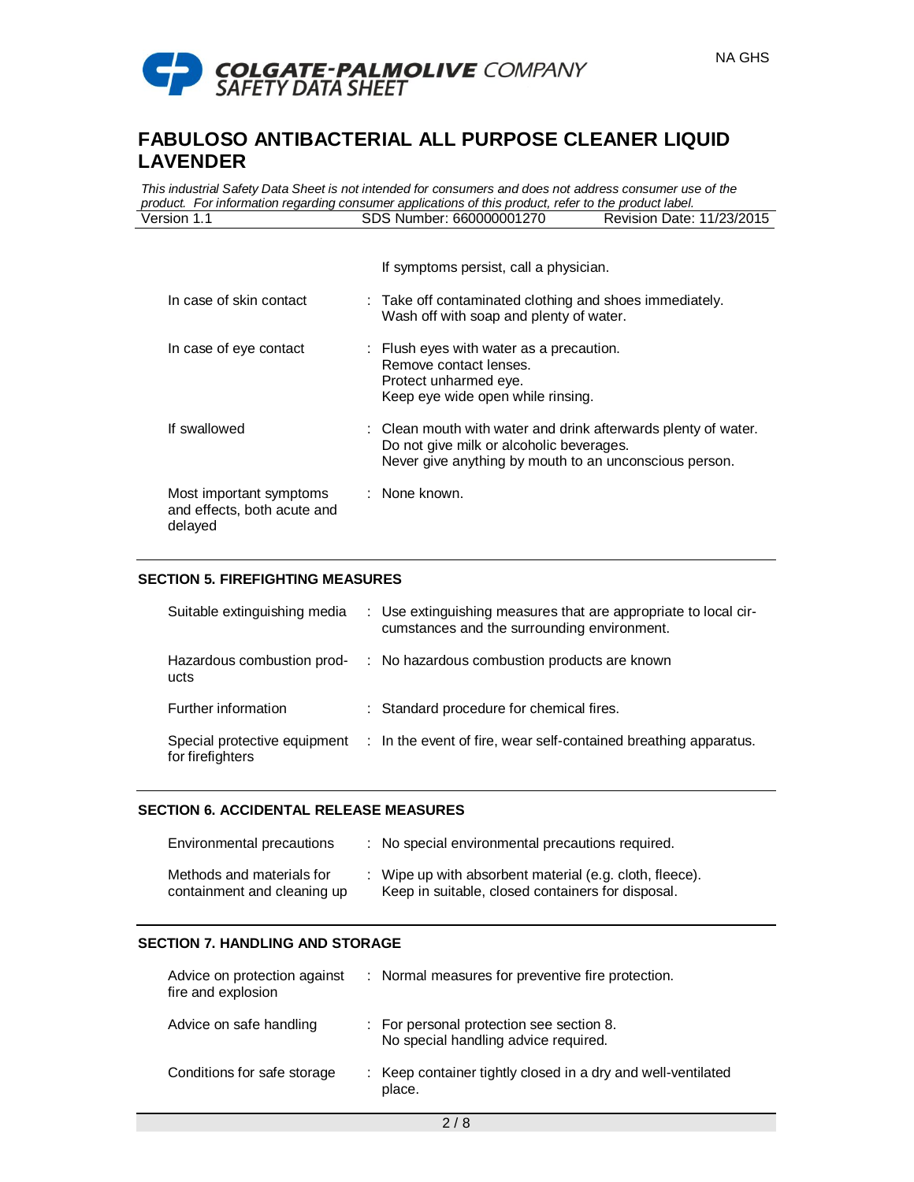

*This industrial Safety Data Sheet is not intended for consumers and does not address consumer use of the product. For information regarding consumer applications of this product, refer to the product label.* Version 1.1 SDS Number: 660000001270 Revision Date: 11/23/2015

|                                                                   | If symptoms persist, call a physician.                                                                                                                               |
|-------------------------------------------------------------------|----------------------------------------------------------------------------------------------------------------------------------------------------------------------|
| In case of skin contact                                           | : Take off contaminated clothing and shoes immediately.<br>Wash off with soap and plenty of water.                                                                   |
| In case of eye contact                                            | : Flush eyes with water as a precaution.<br>Remove contact lenses.<br>Protect unharmed eye.<br>Keep eye wide open while rinsing.                                     |
| If swallowed                                                      | : Clean mouth with water and drink afterwards plenty of water.<br>Do not give milk or alcoholic beverages.<br>Never give anything by mouth to an unconscious person. |
| Most important symptoms<br>and effects, both acute and<br>delayed | : None known.                                                                                                                                                        |

## **SECTION 5. FIREFIGHTING MEASURES**

| Suitable extinguishing media                     | : Use extinguishing measures that are appropriate to local cir-<br>cumstances and the surrounding environment. |
|--------------------------------------------------|----------------------------------------------------------------------------------------------------------------|
| Hazardous combustion prod-<br>ucts               | : No hazardous combustion products are known                                                                   |
| Further information                              | : Standard procedure for chemical fires.                                                                       |
| Special protective equipment<br>for firefighters | : In the event of fire, wear self-contained breathing apparatus.                                               |

### **SECTION 6. ACCIDENTAL RELEASE MEASURES**

| Environmental precautions                                | : No special environmental precautions required.                                                             |
|----------------------------------------------------------|--------------------------------------------------------------------------------------------------------------|
| Methods and materials for<br>containment and cleaning up | : Wipe up with absorbent material (e.g. cloth, fleece).<br>Keep in suitable, closed containers for disposal. |

### **SECTION 7. HANDLING AND STORAGE**

| Advice on protection against<br>fire and explosion | : Normal measures for preventive fire protection.                                |
|----------------------------------------------------|----------------------------------------------------------------------------------|
| Advice on safe handling                            | : For personal protection see section 8.<br>No special handling advice required. |
| Conditions for safe storage                        | : Keep container tightly closed in a dry and well-ventilated<br>place.           |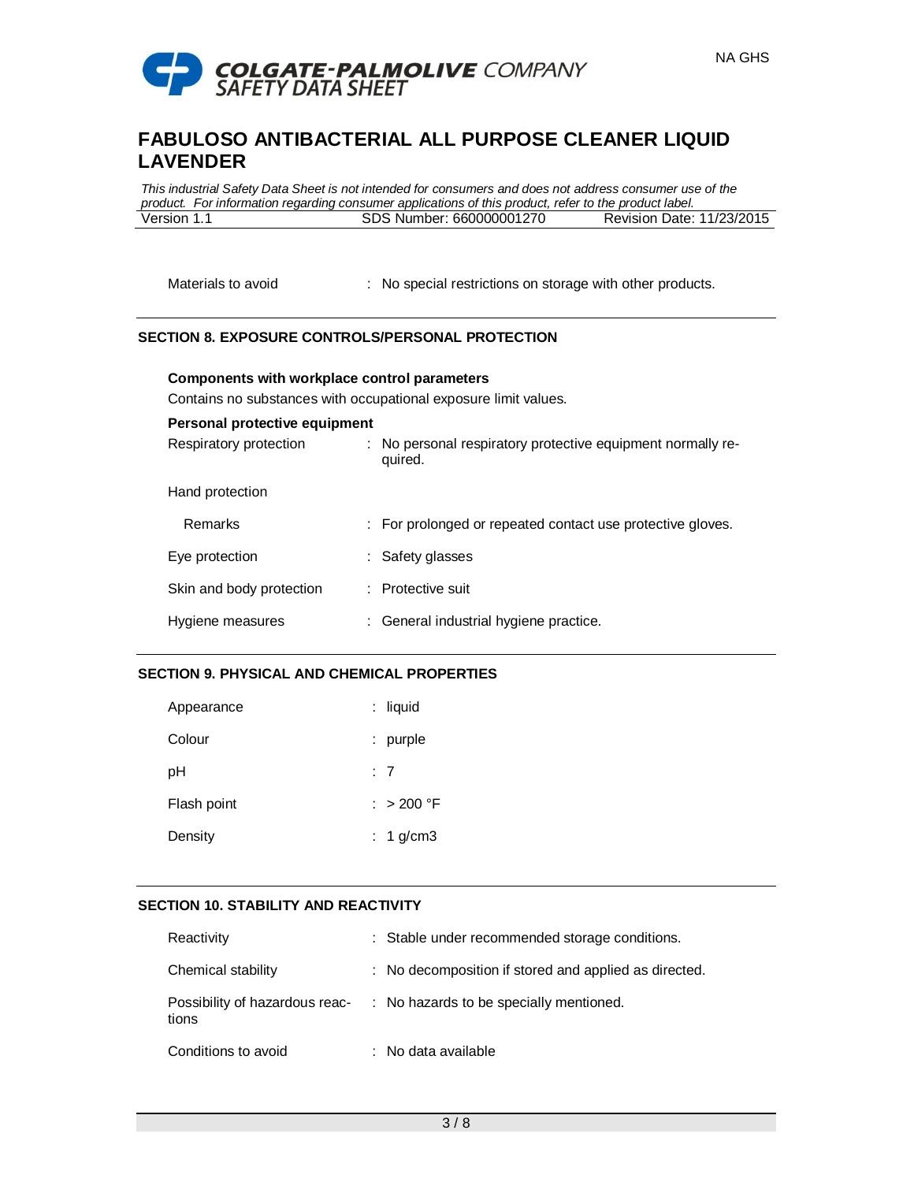

*This industrial Safety Data Sheet is not intended for consumers and does not address consumer use of the product. For information regarding consumer applications of this product, refer to the product label.* Version 1.1 SDS Number: 660000001270 Revision Date: 11/23/2015

Materials to avoid : No special restrictions on storage with other products.

## **SECTION 8. EXPOSURE CONTROLS/PERSONAL PROTECTION**

Contains no substances with occupational exposure limit values.

**Components with workplace control parameters**

| Personal protective equipment |                                                                        |
|-------------------------------|------------------------------------------------------------------------|
| Respiratory protection        | : No personal respiratory protective equipment normally re-<br>quired. |
| Hand protection               |                                                                        |
| Remarks                       | : For prolonged or repeated contact use protective gloves.             |
| Eye protection                | : Safety glasses                                                       |
| Skin and body protection      | : Protective suit                                                      |
| Hygiene measures              | : General industrial hygiene practice.                                 |

## **SECTION 9. PHYSICAL AND CHEMICAL PROPERTIES**

| Appearance  | $:$ liquid  |
|-------------|-------------|
| Colour      | $:$ purple  |
| pH          | : 7         |
| Flash point | : > 200 °F  |
| Density     | $: 1$ g/cm3 |

# **SECTION 10. STABILITY AND REACTIVITY**

| Reactivity                              | : Stable under recommended storage conditions.        |
|-----------------------------------------|-------------------------------------------------------|
| Chemical stability                      | : No decomposition if stored and applied as directed. |
| Possibility of hazardous reac-<br>tions | : No hazards to be specially mentioned.               |
| Conditions to avoid                     | : No data available                                   |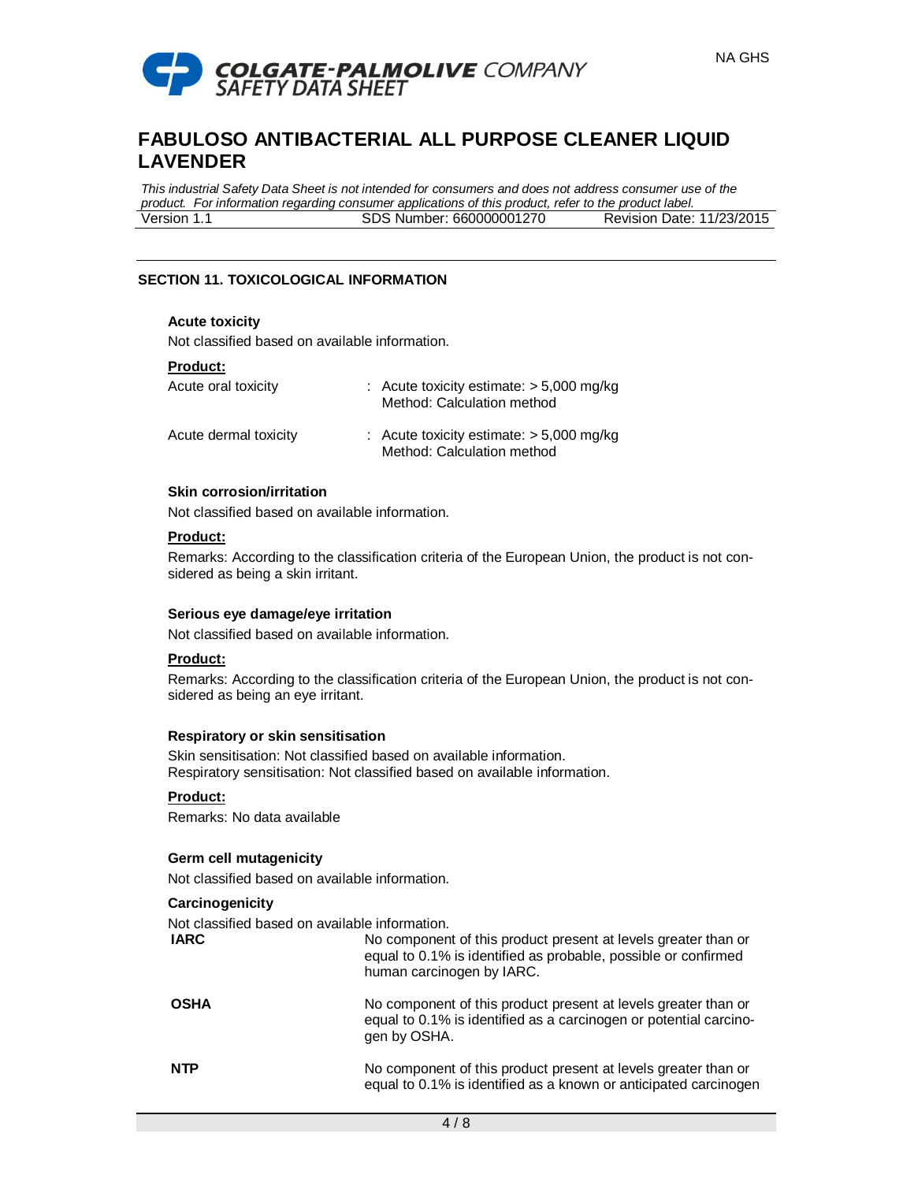

*This industrial Safety Data Sheet is not intended for consumers and does not address consumer use of the product. For information regarding consumer applications of this product, refer to the product label.* Version 1.1 SDS Number: 660000001270 Revision Date: 11/23/2015

## **SECTION 11. TOXICOLOGICAL INFORMATION**

### **Acute toxicity**

Not classified based on available information.

### **Product:**

| Acute oral toxicity   | : Acute toxicity estimate: $> 5,000$ mg/kg<br>Method: Calculation method |
|-----------------------|--------------------------------------------------------------------------|
| Acute dermal toxicity | : Acute toxicity estimate: $> 5,000$ mg/kg<br>Method: Calculation method |

### **Skin corrosion/irritation**

Not classified based on available information.

# **Product:**

Remarks: According to the classification criteria of the European Union, the product is not considered as being a skin irritant.

### **Serious eye damage/eye irritation**

Not classified based on available information.

## **Product:**

Remarks: According to the classification criteria of the European Union, the product is not considered as being an eye irritant.

### **Respiratory or skin sensitisation**

Skin sensitisation: Not classified based on available information. Respiratory sensitisation: Not classified based on available information.

## **Product:**

Remarks: No data available

### **Germ cell mutagenicity**

Not classified based on available information.

### **Carcinogenicity**

Not classified based on available information.

| <b>IARC</b> | No component of this product present at levels greater than or<br>equal to 0.1% is identified as probable, possible or confirmed<br>human carcinogen by IARC. |
|-------------|---------------------------------------------------------------------------------------------------------------------------------------------------------------|
| <b>OSHA</b> | No component of this product present at levels greater than or<br>equal to 0.1% is identified as a carcinogen or potential carcino-<br>gen by OSHA.           |
| <b>NTP</b>  | No component of this product present at levels greater than or<br>equal to 0.1% is identified as a known or anticipated carcinogen                            |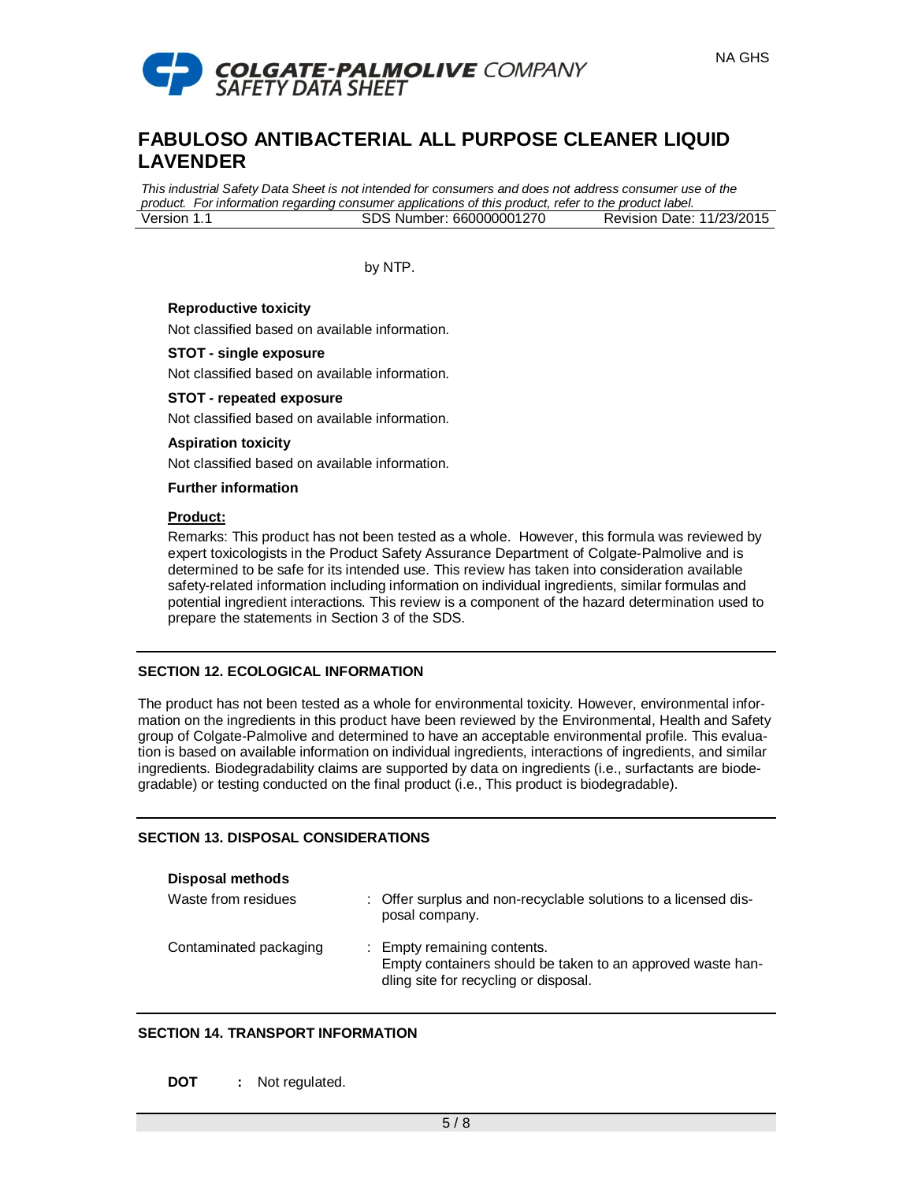

*This industrial Safety Data Sheet is not intended for consumers and does not address consumer use of the product. For information regarding consumer applications of this product, refer to the product label.* Version 1.1 SDS Number: 660000001270 Revision Date: 11/23/2015

by NTP.

### **Reproductive toxicity**

Not classified based on available information.

### **STOT - single exposure**

Not classified based on available information.

### **STOT - repeated exposure**

Not classified based on available information.

### **Aspiration toxicity**

Not classified based on available information.

**Further information**

### **Product:**

Remarks: This product has not been tested as a whole. However, this formula was reviewed by expert toxicologists in the Product Safety Assurance Department of Colgate-Palmolive and is determined to be safe for its intended use. This review has taken into consideration available safety-related information including information on individual ingredients, similar formulas and potential ingredient interactions. This review is a component of the hazard determination used to prepare the statements in Section 3 of the SDS.

### **SECTION 12. ECOLOGICAL INFORMATION**

The product has not been tested as a whole for environmental toxicity. However, environmental information on the ingredients in this product have been reviewed by the Environmental, Health and Safety group of Colgate-Palmolive and determined to have an acceptable environmental profile. This evaluation is based on available information on individual ingredients, interactions of ingredients, and similar ingredients. Biodegradability claims are supported by data on ingredients (i.e., surfactants are biodegradable) or testing conducted on the final product (i.e., This product is biodegradable).

### **SECTION 13. DISPOSAL CONSIDERATIONS**

| <b>Disposal methods</b> |                                                                                                                                    |
|-------------------------|------------------------------------------------------------------------------------------------------------------------------------|
| Waste from residues     | : Offer surplus and non-recyclable solutions to a licensed dis-<br>posal company.                                                  |
| Contaminated packaging  | : Empty remaining contents.<br>Empty containers should be taken to an approved waste han-<br>dling site for recycling or disposal. |

### **SECTION 14. TRANSPORT INFORMATION**

**DOT :** Not regulated.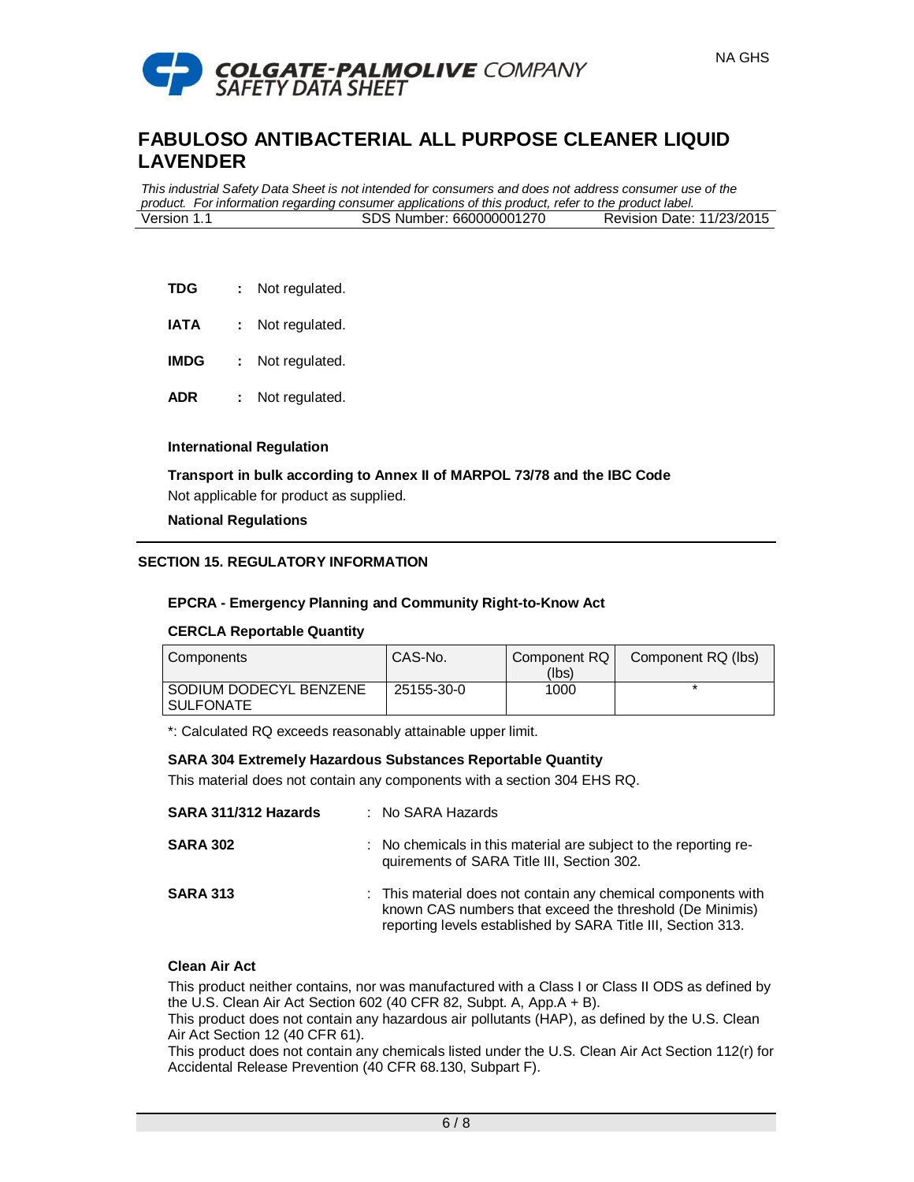

*This industrial Safety Data Sheet is not intended for consumers and does not address consumer use of the product. For information regarding consumer applications of this product, refer to the product label.* Version 1.1 SDS Number: 660000001270 Revision Date: 11/23/2015

- **TDG :** Not regulated.
- **IATA :** Not regulated.
- **IMDG :** Not regulated.
- **ADR :** Not regulated.

### **International Regulation**

**Transport in bulk according to Annex II of MARPOL 73/78 and the IBC Code** Not applicable for product as supplied.

### **National Regulations**

## **SECTION 15. REGULATORY INFORMATION**

### **EPCRA - Emergency Planning and Community Right-to-Know Act**

### **CERCLA Reportable Quantity**

| l Components                                 | CAS-No.    | Component RQ I<br>(Ibs) | Component RQ (lbs) |
|----------------------------------------------|------------|-------------------------|--------------------|
| I SODIUM DODECYL BENZENE<br><b>SULFONATE</b> | 25155-30-0 | 1000                    |                    |

\*: Calculated RQ exceeds reasonably attainable upper limit.

### **SARA 304 Extremely Hazardous Substances Reportable Quantity**

This material does not contain any components with a section 304 EHS RQ.

| SARA 311/312 Hazards | $:$ No SARA Hazards                                                                                                                                                                       |
|----------------------|-------------------------------------------------------------------------------------------------------------------------------------------------------------------------------------------|
| <b>SARA 302</b>      | : No chemicals in this material are subject to the reporting re-<br>quirements of SARA Title III, Section 302.                                                                            |
| <b>SARA 313</b>      | : This material does not contain any chemical components with<br>known CAS numbers that exceed the threshold (De Minimis)<br>reporting levels established by SARA Title III, Section 313. |

### **Clean Air Act**

This product neither contains, nor was manufactured with a Class I or Class II ODS as defined by the U.S. Clean Air Act Section 602 (40 CFR 82, Subpt. A, App.A + B).

This product does not contain any hazardous air pollutants (HAP), as defined by the U.S. Clean Air Act Section 12 (40 CFR 61).

This product does not contain any chemicals listed under the U.S. Clean Air Act Section 112(r) for Accidental Release Prevention (40 CFR 68.130, Subpart F).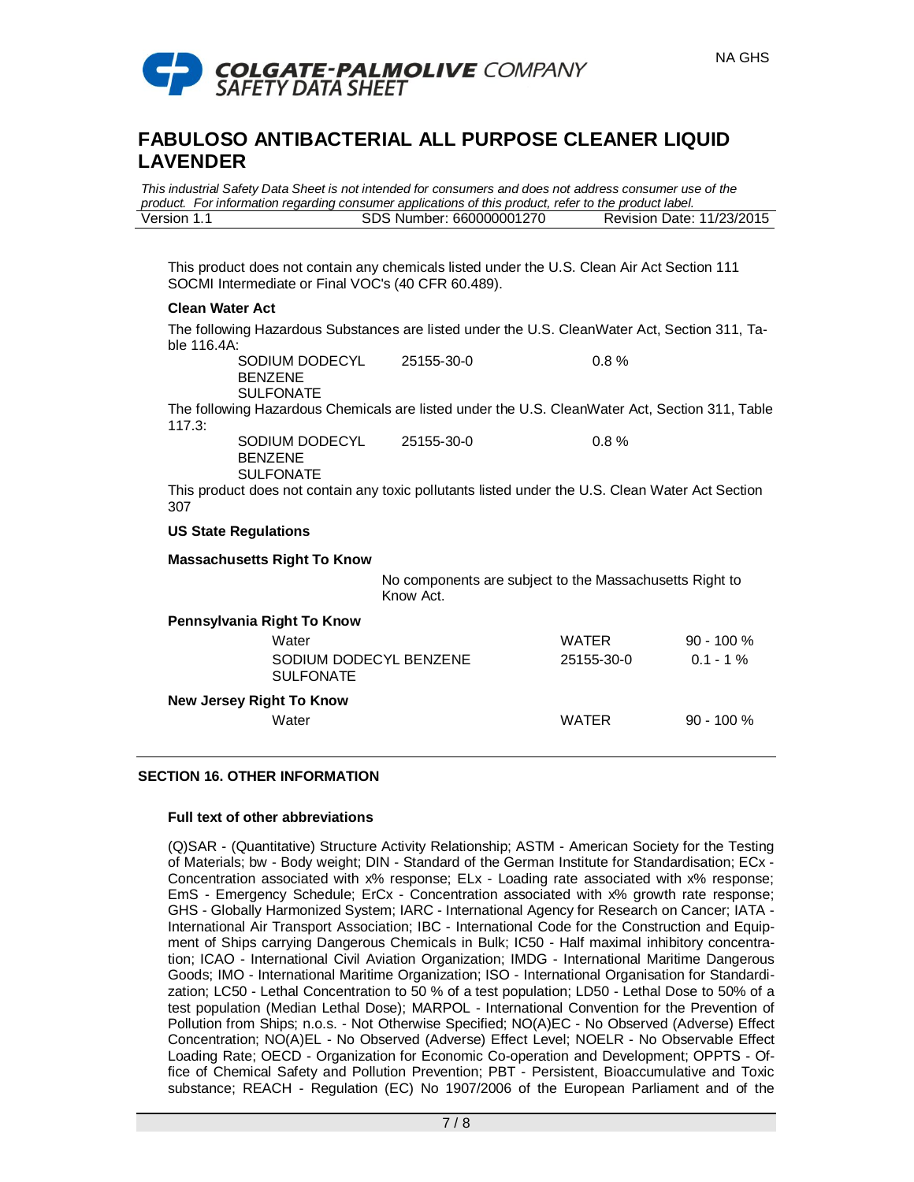

*This industrial Safety Data Sheet is not intended for consumers and does not address consumer use of the product. For information regarding consumer applications of this product, refer to the product label.* Version 1.1 SDS Number: 660000001270 Revision Date: 11/23/2015

This product does not contain any chemicals listed under the U.S. Clean Air Act Section 111 SOCMI Intermediate or Final VOC's (40 CFR 60.489).

### **Clean Water Act**

The following Hazardous Substances are listed under the U.S. CleanWater Act, Section 311, Table 116.4A: 25155-30-0 0.8 %

SODIUM DODECYL BENZENE

SULFONATE

The following Hazardous Chemicals are listed under the U.S. CleanWater Act, Section 311, Table 117.3:

SODIUM DODECYL BENZENE SULFONATE

25155-30-0 0.8 %

This product does not contain any toxic pollutants listed under the U.S. Clean Water Act Section 307

### **US State Regulations**

**Massachusetts Right To Know**

No components are subject to the Massachusetts Right to Know Act.

| Pennsylvania Right To Know                 |              |              |
|--------------------------------------------|--------------|--------------|
| Water                                      | <b>WATER</b> | $90 - 100 %$ |
| SODIUM DODECYL BENZENE<br><b>SULFONATE</b> | 25155-30-0   | $0.1 - 1\%$  |
| <b>New Jersey Right To Know</b>            |              |              |
| Water                                      | <b>WATER</b> | $90 - 100 %$ |

## **SECTION 16. OTHER INFORMATION**

## **Full text of other abbreviations**

(Q)SAR - (Quantitative) Structure Activity Relationship; ASTM - American Society for the Testing of Materials; bw - Body weight; DIN - Standard of the German Institute for Standardisation; ECx - Concentration associated with x% response; ELx - Loading rate associated with x% response; EmS - Emergency Schedule; ErCx - Concentration associated with x% growth rate response; GHS - Globally Harmonized System; IARC - International Agency for Research on Cancer; IATA - International Air Transport Association; IBC - International Code for the Construction and Equipment of Ships carrying Dangerous Chemicals in Bulk; IC50 - Half maximal inhibitory concentration; ICAO - International Civil Aviation Organization; IMDG - International Maritime Dangerous Goods; IMO - International Maritime Organization; ISO - International Organisation for Standardization; LC50 - Lethal Concentration to 50 % of a test population; LD50 - Lethal Dose to 50% of a test population (Median Lethal Dose); MARPOL - International Convention for the Prevention of Pollution from Ships; n.o.s. - Not Otherwise Specified; NO(A)EC - No Observed (Adverse) Effect Concentration; NO(A)EL - No Observed (Adverse) Effect Level; NOELR - No Observable Effect Loading Rate; OECD - Organization for Economic Co-operation and Development; OPPTS - Office of Chemical Safety and Pollution Prevention; PBT - Persistent, Bioaccumulative and Toxic substance; REACH - Regulation (EC) No 1907/2006 of the European Parliament and of the